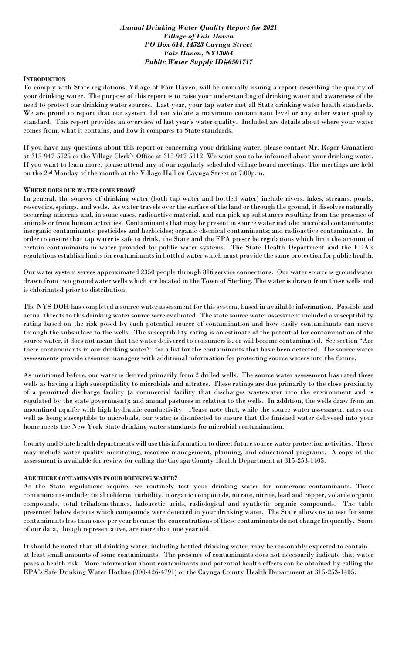## *Annual Drinking Water Quality Report for 2021 Village of Fair Haven PO Box 614, 14523 Cayuga Street Fair Haven, NY13064 Public Water Supply ID#0501717*

## **INTRODUCTION**

To comply with State regulations, Village of Fair Haven, will be annually issuing a report describing the quality of your drinking water. The purpose of this report is to raise your understanding of drinking water and awareness of the need to protect our drinking water sources. Last year, your tap water met all State drinking water health standards. We are proud to report that our system did not violate a maximum contaminant level or any other water quality standard. This report provides an overview of last year's water quality. Included are details about where your water comes from, what it contains, and how it compares to State standards.

If you have any questions about this report or concerning your drinking water, please contact Mr. Roger Granatiero at 315-947-5725 or the Village Clerk's Office at 315-947-5112. We want you to be informed about your drinking water. If you want to learn more, please attend any of our regularly scheduled village board meetings. The meetings are held on the 2nd Monday of the month at the Village Hall on Cayuga Street at 7:00p.m.

### **WHERE DOES OUR WATER COME FROM?**

In general, the sources of drinking water (both tap water and bottled water) include rivers, lakes, streams, ponds, reservoirs, springs, and wells. As water travels over the surface of the land or through the ground, it dissolves naturally occurring minerals and, in some cases, radioactive material, and can pick up substances resulting from the presence of animals or from human activities. Contaminants that may be present in source water include: microbial contaminants; inorganic contaminants; pesticides and herbicides; organic chemical contaminants; and radioactive contaminants. In order to ensure that tap water is safe to drink, the State and the EPA prescribe regulations which limit the amount of certain contaminants in water provided by public water systems. The State Health Department and the FDA's regulations establish limits for contaminants in bottled water which must provide the same protection for public health.

Our water system serves approximated 2350 people through 816 service connections. Our water source is groundwater drawn from two groundwater wells which are located in the Town of Sterling. The water is drawn from these wells and is chlorinated prior to distribution.

The NYS DOH has completed a source water assessment for this system, based in available information. Possible and actual threats to this drinking water source were evaluated. The state source water assessment included a susceptibility rating based on the risk posed by each potential source of contamination and how easily contaminants can move through the subsurface to the wells. The susceptibility rating is an estimate of the potential for contamination of the source water, it does not mean that the water delivered to consumers is, or will become contaminated. See section "Are there contaminants in our drinking water?" for a list for the contaminants that have been detected. The source water assessments provide resource managers with additional information for protecting source waters into the future.

As mentioned before, our water is derived primarily from 2 drilled wells. The source water assessment has rated these wells as having a high susceptibility to microbials and nitrates. These ratings are due primarily to the close proximity of a permitted discharge facility (a commercial facility that discharges wastewater into the environment and is regulated by the state government); and animal pastures in relation to the wells. In addition, the wells draw from an unconfined aquifer with high hydraulic conductivity. Please note that, while the source water assessment rates our well as being susceptible to microbials, our water is disinfected to ensure that the finished water delivered into your home meets the New York State drinking water standards for microbial contamination.

County and State health departments will use this information to direct future source water protection activities. These may include water quality monitoring, resource management, planning, and educational programs. A copy of the assessment is available for review for calling the Cayuga County Health Department at 315-253-1405.

### **ARE THERE CONTAMINANTS IN OUR DRINKING WATER?**

As the State regulations require, we routinely test your drinking water for numerous contaminants. These contaminants include: total coliform, turbidity, inorganic compounds, nitrate, nitrite, lead and copper, volatile organic compounds, total trihalomethanes, haloacetic acids, radiological and synthetic organic compounds. The table presented below depicts which compounds were detected in your drinking water. The State allows us to test for some contaminants less than once per year because the concentrations of these contaminants do not change frequently. Some of our data, though representative, are more than one year old.

It should be noted that all drinking water, including bottled drinking water, may be reasonably expected to contain at least small amounts of some contaminants. The presence of contaminants does not necessarily indicate that water poses a health risk. More information about contaminants and potential health effects can be obtained by calling the EPA's Safe Drinking Water Hotline (800-426-4791) or the Cayuga County Health Department at 315-253-1405.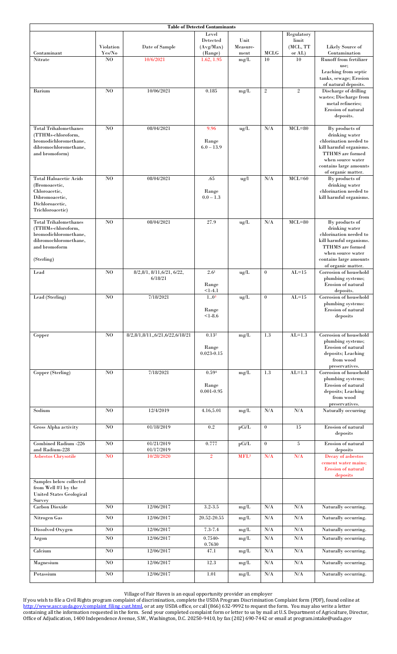| <b>Table of Detected Contaminants</b>          |                |                                 |                       |                  |                  |                   |                                               |  |  |  |  |
|------------------------------------------------|----------------|---------------------------------|-----------------------|------------------|------------------|-------------------|-----------------------------------------------|--|--|--|--|
|                                                |                |                                 | Level                 |                  |                  | Regulatory        |                                               |  |  |  |  |
|                                                | Violation      | Date of Sample                  | Detected<br>(Avg/Max) | Unit<br>Measure- |                  | limit<br>(MCL, TT | Likely Source of                              |  |  |  |  |
| Contaminant                                    | Yes/No         |                                 | (Range)               | ment             | MCLG             | or AL)            | Contamination                                 |  |  |  |  |
| Nitrate                                        | N <sub>O</sub> | 10/6/2021                       | 1.62, 1.95            | mg/L             | 10               | 10                | <b>Runoff from fertilizer</b>                 |  |  |  |  |
|                                                |                |                                 |                       |                  |                  |                   | use:                                          |  |  |  |  |
|                                                |                |                                 |                       |                  |                  |                   | Leaching from septic                          |  |  |  |  |
|                                                |                |                                 |                       |                  |                  |                   | tanks, sewage; Erosion                        |  |  |  |  |
| Barium                                         | N <sub>O</sub> | 10/06/2021                      | 0.185                 | mg/L             | $\sqrt{2}$       | $\,2$             | of natural deposits.<br>Discharge of drilling |  |  |  |  |
|                                                |                |                                 |                       |                  |                  |                   | wastes; Discharge from                        |  |  |  |  |
|                                                |                |                                 |                       |                  |                  |                   | metal refineries:                             |  |  |  |  |
|                                                |                |                                 |                       |                  |                  |                   | <b>Erosion of natural</b>                     |  |  |  |  |
|                                                |                |                                 |                       |                  |                  |                   | deposits.                                     |  |  |  |  |
| <b>Total Trihalomethanes</b>                   | N <sub>O</sub> | 08/04/2021                      | 9.96                  | ug/L             | N/A              | $MCL=80$          | By products of                                |  |  |  |  |
| (TTHMs-chloroform,                             |                |                                 |                       |                  |                  |                   | drinking water                                |  |  |  |  |
| bromodichloromethane,                          |                |                                 | Range                 |                  |                  |                   | chlorination needed to                        |  |  |  |  |
| dibromochloromethane,                          |                |                                 | $6.0 - 13.9$          |                  |                  |                   | kill harmful organisms.                       |  |  |  |  |
| and bromoform)                                 |                |                                 |                       |                  |                  |                   | <b>TTHMS</b> are formed                       |  |  |  |  |
|                                                |                |                                 |                       |                  |                  |                   | when source water<br>contains large amounts   |  |  |  |  |
|                                                |                |                                 |                       |                  |                  |                   | of organic matter.                            |  |  |  |  |
| <b>Total Haloacetic Acids</b>                  | N <sub>O</sub> | 08/04/2021                      | .65                   | ug/l             | N/A              | $MCL = 60$        | By products of                                |  |  |  |  |
| (Bromoacetic,                                  |                |                                 |                       |                  |                  |                   | drinking water                                |  |  |  |  |
| Chloroacetic,<br>Dibromoacetic.                |                |                                 | Range<br>$0.0 - 1.3$  |                  |                  |                   | chlorination needed to                        |  |  |  |  |
| Dichloroacetic,                                |                |                                 |                       |                  |                  |                   | kill harmful organisms.                       |  |  |  |  |
| Trichloroacetic)                               |                |                                 |                       |                  |                  |                   |                                               |  |  |  |  |
|                                                |                |                                 |                       |                  |                  |                   |                                               |  |  |  |  |
| <b>Total Trihalomethanes</b>                   | N <sub>O</sub> | 08/04/2021                      | 27.9                  | ug/L             | N/A              | $MCL=80$          | By products of                                |  |  |  |  |
| (TTHMs-chloroform,<br>bromodichloromethane,    |                |                                 |                       |                  |                  |                   | drinking water<br>chlorination needed to      |  |  |  |  |
| dibromochloromethane,                          |                |                                 |                       |                  |                  |                   | kill harmful organisms.                       |  |  |  |  |
| and bromoform                                  |                |                                 |                       |                  |                  |                   | <b>TTHMS</b> are formed                       |  |  |  |  |
|                                                |                |                                 |                       |                  |                  |                   | when source water                             |  |  |  |  |
| (Sterling)                                     |                |                                 |                       |                  |                  |                   | contains large amounts                        |  |  |  |  |
| Lead                                           | N <sub>O</sub> | 8/2,8/1, 8/11, 6/21, 6/22,      | 2.6 <sup>1</sup>      | ug/L             | $\mathbf{0}$     | $AL=15$           | of organic matter.<br>Corrosion of household  |  |  |  |  |
|                                                |                | 6/18/21                         |                       |                  |                  |                   | plumbing systems;                             |  |  |  |  |
|                                                |                |                                 | Range                 |                  |                  |                   | Erosion of natural                            |  |  |  |  |
|                                                |                |                                 | $<1-4.1$              |                  |                  |                   | deposits.                                     |  |  |  |  |
| Lead (Sterling)                                | N <sub>O</sub> | 7/18/2021                       | 10 <sup>3</sup>       | ug/L             | $\boldsymbol{0}$ | $AL=15$           | Corrosion of household<br>plumbing systems:   |  |  |  |  |
|                                                |                |                                 | Range                 |                  |                  |                   | Erosion of natural                            |  |  |  |  |
|                                                |                |                                 | $< 1 - 8.6$           |                  |                  |                   | deposits                                      |  |  |  |  |
|                                                |                |                                 |                       |                  |                  |                   |                                               |  |  |  |  |
|                                                |                |                                 |                       |                  |                  | $AL=1.3$          | Corrosion of household                        |  |  |  |  |
| Copper                                         | N <sub>O</sub> | 8/2,8/1,8/11,,6/21,6/22,6/18/21 | 0.13 <sup>2</sup>     | mg/L             | 1.3              |                   | plumbing systems;                             |  |  |  |  |
|                                                |                |                                 | Range                 |                  |                  |                   | Erosion of natural                            |  |  |  |  |
|                                                |                |                                 | $0.023 - 0.15$        |                  |                  |                   | deposits; Leaching                            |  |  |  |  |
|                                                |                |                                 |                       |                  |                  |                   | from wood                                     |  |  |  |  |
| Copper (Sterling)                              | N <sub>O</sub> | 7/18/2021                       | 0.594                 | mg/L             | 1.3              | $AL=1.3$          | preservatives.<br>Corrosion of household      |  |  |  |  |
|                                                |                |                                 |                       |                  |                  |                   | plumbing systems;                             |  |  |  |  |
|                                                |                |                                 | Range                 |                  |                  |                   | Erosion of natural                            |  |  |  |  |
|                                                |                |                                 | $0.001 - 0.95$        |                  |                  |                   | deposits; Leaching                            |  |  |  |  |
|                                                |                |                                 |                       |                  |                  |                   | from wood                                     |  |  |  |  |
| Sodium                                         | N <sub>0</sub> | 12/4/2019                       | 4.16,5.01             | mg/L             | N/A              | $\rm N/A$         | preservatives.<br>Naturally occurring         |  |  |  |  |
|                                                |                |                                 |                       |                  |                  |                   |                                               |  |  |  |  |
|                                                | $\bf NO$       | 01/18/2019                      |                       |                  | $\mathbf{0}$     |                   | Erosion of natural                            |  |  |  |  |
| Gross Alpha activity                           |                |                                 | 0.2                   | pCi/L            |                  | 15                | deposits                                      |  |  |  |  |
|                                                |                |                                 |                       |                  |                  |                   |                                               |  |  |  |  |
| Combined Radium -226<br>and Radium-228         | $\bf NO$       | 01/21/2019                      | 0.777                 | pCi/L            | $\mathbf{0}$     | 5                 | Erosion of natural                            |  |  |  |  |
| <b>Asbestos Chrysotile</b>                     | $\bf NO$       | 01/17/2019<br>10/28/2020        | $\overline{2}$        | MFL <sup>3</sup> | N/A              | N/A               | deposits<br>Decay of asbestos                 |  |  |  |  |
|                                                |                |                                 |                       |                  |                  |                   | cement water mains:                           |  |  |  |  |
|                                                |                |                                 |                       |                  |                  |                   | <b>Erosion of natural</b>                     |  |  |  |  |
|                                                |                |                                 |                       |                  |                  |                   | deposits                                      |  |  |  |  |
| Samples below collected<br>from Well #1 by the |                |                                 |                       |                  |                  |                   |                                               |  |  |  |  |
| <b>United States Geological</b>                |                |                                 |                       |                  |                  |                   |                                               |  |  |  |  |
| Survey                                         |                |                                 |                       |                  |                  |                   |                                               |  |  |  |  |
| <b>Carbon Dioxide</b>                          | N <sub>0</sub> | 12/06/2017                      | $3.2 - 3.5$           | mg/L             | N/A              | $\rm N/A$         | Naturally occurring.                          |  |  |  |  |
| Nitrogen Gas                                   | N <sub>0</sub> | 12/06/2017                      | 20.52-20.55           | mg/L             | N/A              | N/A               | Naturally occurring.                          |  |  |  |  |
|                                                |                |                                 |                       |                  |                  |                   |                                               |  |  |  |  |
| Dissolved Oxygen                               | $\bf NO$       | 12/06/2017                      | $7.3 - 7.4$           | mg/L             | N/A              | $\rm N/A$         | Naturally occurring.                          |  |  |  |  |
| Argon                                          | N <sub>0</sub> | 12/06/2017                      | $0.7540 -$<br>0.7630  | mg/L             | $\rm N/A$        | N/A               | Naturally occurring.                          |  |  |  |  |
| Calcium                                        | $\bf NO$       | 12/06/2017                      | 47.1                  | mg/L             | $\rm N/A$        | $\rm N/A$         | Naturally occurring.                          |  |  |  |  |
|                                                |                |                                 |                       |                  |                  |                   |                                               |  |  |  |  |
| Magnesium                                      | $\bf NO$       | 12/06/2017                      | 12.3                  | mg/L             | $\rm N/A$        | $\rm N/A$         | Naturally occurring.                          |  |  |  |  |
| $\rm Potassium$                                | N <sub>0</sub> | 12/06/2017                      | 1.01                  | mg/L             | $\rm N/A$        | $\rm N/A$         | Naturally occurring.                          |  |  |  |  |
|                                                |                |                                 |                       |                  |                  |                   |                                               |  |  |  |  |

Village of Fair Haven is an equal opportunity provider an employer

If you wish to file a Civil Rights program complaint of discrimination, complete the USDA Program Discrimination Complaint form (PDF), found online at [http://www.ascr.usda.gov/complaint\\_filing\\_cust.html,](http://www.ascr.usda.gov/complaint_filing_cust.html) or at any USDA office, or call (866) 632-9992 to request the form. You may also write a letter containing all the information requested in the form. Send your completed complaint form or letter to us by mail at U.S. Department of Agriculture, Director, Office of Adjudication, 1400 Independence Avenue, S.W., Washington, D.C. 20250-9410, by fax (202) 690-7442 or email at program.intake@usda.gov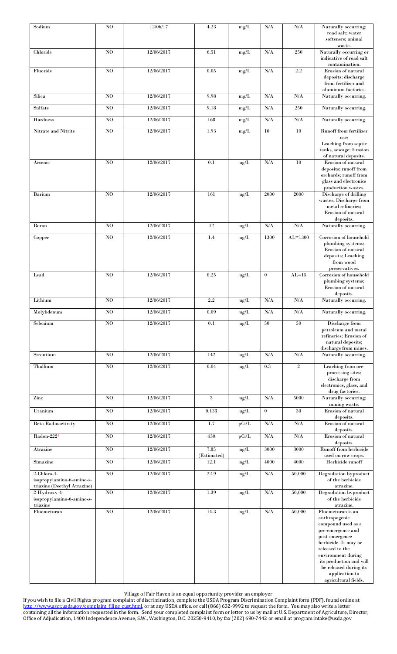| Sodium                                                                                                | N <sub>O</sub> | 12/06/17   | 4.23                | $mg/L$     | N/A              | $\rm N/A$      | Naturally occurring;<br>road salt; water<br>softeners; animal                                                                                           |
|-------------------------------------------------------------------------------------------------------|----------------|------------|---------------------|------------|------------------|----------------|---------------------------------------------------------------------------------------------------------------------------------------------------------|
| Chloride                                                                                              | N <sub>O</sub> | 12/06/2017 | 6.51                | mg/L       | $\rm N/A$        | $250\,$        | waste.<br>Naturally occurring or<br>indicative of road salt                                                                                             |
| Fluoride                                                                                              | N <sub>O</sub> | 12/06/2017 | 0.05                | mg/L       | $\rm N/A$        | $2.2\,$        | contamination.<br>Erosion of natural<br>deposits; discharge<br>from fertilizer and<br>aluminum factories.                                               |
| Silica                                                                                                | N <sub>O</sub> | 12/06/2017 | 9.98                | mg/L       | N/A              | $\rm N/A$      | Naturally occurring.                                                                                                                                    |
| Sulfate                                                                                               | N <sub>O</sub> | 12/06/2017 | 9.18                | mg/L       | $\rm N/A$        | 250            | Naturally occurring.                                                                                                                                    |
| Hardness                                                                                              | N <sub>O</sub> | 12/06/2017 | 168                 | mg/L       | $\rm N/A$        | N/A            | Naturally occurring.                                                                                                                                    |
| Nitrate and Nitrite                                                                                   | N <sub>O</sub> | 12/06/2017 | 1.93                | $mg/L$     | $10\,$           | 10             | Runoff from fertilizer<br>use;                                                                                                                          |
|                                                                                                       |                |            |                     |            |                  |                | Leaching from septic<br>tanks, sewage; Erosion<br>of natural deposits.                                                                                  |
| $\operatorname{Arsenic}$                                                                              | N <sub>O</sub> | 12/06/2017 | 0.1                 | $\rm ug/L$ | N/A              | 10             | Erosion of natural<br>deposits; runoff from<br>orchards; runoff from<br>glass and electronics<br>production wastes.                                     |
| <b>Barium</b>                                                                                         | N <sub>O</sub> | 12/06/2017 | 161                 | ug/L       | 2000             | 2000           | Discharge of drilling<br>wastes; Discharge from<br>metal refineries;<br>Erosion of natural<br>deposits.                                                 |
| Boron                                                                                                 | N <sub>O</sub> | 12/06/2017 | 12                  | ug/L       | $\rm N/A$        | $\rm N/A$      | Naturally occurring.                                                                                                                                    |
| Copper                                                                                                | N <sub>O</sub> | 12/06/2017 | 1.4                 | ug/L       | 1300             | $AL = 1300$    | Corrosion of household<br>plumbing systems;<br>Erosion of natural<br>deposits; Leaching<br>from wood<br>preservatives.                                  |
| Lead                                                                                                  | N <sub>O</sub> | 12/06/2017 | 0.25                | $\rm ug/L$ | $\boldsymbol{0}$ | $AL=15$        | Corrosion of household<br>plumbing systems;<br>Erosion of natural<br>deposits.                                                                          |
| Lithium                                                                                               | N <sub>0</sub> | 12/06/2017 | 2.2                 | ug/L       | N/A              | $\rm N/A$      | Naturally occurring.                                                                                                                                    |
| Molvbdenum                                                                                            | N <sub>0</sub> | 12/06/2017 | 0.09                | ug/L       | N/A              | N/A            | Naturally occurring.                                                                                                                                    |
| Selenium                                                                                              | N <sub>0</sub> | 12/06/2017 | 0.1                 | ug/L       | 50               | 50             | Discharge from<br>petroleum and metal<br>refineries; Erosion of<br>natural deposits;<br>discharge from mines.                                           |
| Strontium                                                                                             | N <sub>O</sub> | 12/06/2017 | 142                 | ug/L       | N/A              | $\rm N/A$      | Naturally occurring.                                                                                                                                    |
| Thallium                                                                                              | N <sub>O</sub> | 12/06/2017 | 0.04                | ug/L       | 0.5              | $\overline{2}$ | Leaching from ore-<br>processing sites;<br>discharge from<br>electronics, glass, and<br>drug factories.                                                 |
| Zinc                                                                                                  | N <sub>O</sub> | 12/06/2017 | 3                   | ug/L       | $\rm N/A$        | 5000           | Naturally occurring;<br>mining waste.                                                                                                                   |
| Uranium                                                                                               | N <sub>O</sub> | 12/06/2017 | 0.133               | ug/L       | $\boldsymbol{0}$ | 30             | Erosion of natural<br>deposits.                                                                                                                         |
| <b>Beta Radioactivity</b>                                                                             | N <sub>O</sub> | 12/06/2017 | 1.7                 | pCi/L      | N/A              | $\rm N/A$      | Erosion of natural<br>deposits.                                                                                                                         |
| Radon-2224                                                                                            | N <sub>0</sub> | 12/06/2017 | 430                 | pCi/L      | N/A              | N/A            | Erosion of natural                                                                                                                                      |
| Atrazine                                                                                              | N <sub>O</sub> | 12/06/2017 | 7.85                | ng/L       | 3000             | 3000           | deposits.<br>Runoff from herbicide                                                                                                                      |
| Simazine                                                                                              | N <sub>O</sub> | 12/06/2017 | (Estimated)<br>12.1 | ng/L       | 4000             | 4000           | used on row crops.<br>Herbicide runoff                                                                                                                  |
| 2-Chloro-4-                                                                                           | N <sub>O</sub> | 12/06/2017 | 22.9                | ng/L       | N/A              | 50,000         | Degradation byproduct                                                                                                                                   |
| isopropylamino-6-amino-s-<br>triazine (Deethyl Atrazine)<br>2-Hydroxy-4-<br>isopropylamino-6-amino-s- | N <sub>O</sub> | 12/06/2017 | 1.39                | ng/L       | N/A              | 50,000         | of the herbicide<br>atrazine.<br>Degradation byproduct<br>of the herbicide                                                                              |
| triazine<br>Fluometuron                                                                               | N <sub>0</sub> | 12/06/2017 | 14.3                | ng/L       | N/A              | 50,000         | atrazine.<br>Fluometuron is an<br>anthropogenic<br>compound used as a<br>pre-emergence and<br>post-emergence<br>herbicide. It may be<br>released to the |
|                                                                                                       |                |            |                     |            |                  |                | environment during<br>its production and will<br>be released during its<br>application to<br>agricultural fields.                                       |

Village of Fair Haven is an equal opportunity provider an employer

If you wish to file a Civil Rights program complaint of discrimination, complete the USDA Program Discrimination Complaint form (PDF), found online at [http://www.ascr.usda.gov/complaint\\_filing\\_cust.html,](http://www.ascr.usda.gov/complaint_filing_cust.html) or at any USDA office, or call (866) 632-9992 to request the form. You may also write a letter containing all the information requested in the form. Send your completed complaint form or letter to us by mail at U.S. Department of Agriculture, Director, Office of Adjudication, 1400 Independence Avenue, S.W., Washington, D.C. 20250-9410, by fax (202) 690-7442 or email at program.intake@usda.gov